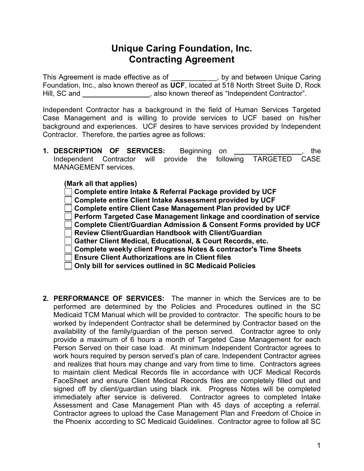## Unique Caring Foundation, Inc. Contracting Agreement

This Agreement is made effective as of \_\_\_\_\_\_\_\_\_\_\_, by and between Unique Caring Foundation, Inc., also known thereof as UCF, located at 518 North Street Suite D, Rock Hill, SC and \_\_\_\_\_\_\_\_\_\_\_\_\_\_\_\_\_\_, also known thereof as "Independent Contractor".

Independent Contractor has a background in the field of Human Services Targeted Case Management and is willing to provide services to UCF based on his/her background and experiences. UCF desires to have services provided by Independent Contractor. Therefore, the parties agree as follows:

1. DESCRIPTION OF SERVICES: Beginning on The state of the state of the state of the state of the state of the Independent Contractor will provide the following TARGETED CASE MANAGEMENT services.

| (Mark all that applies) |                                                                                     |  |
|-------------------------|-------------------------------------------------------------------------------------|--|
|                         | $\Box$ Complete entire Intake & Referral Package provided by UCF                    |  |
|                         | □ Complete entire Client Intake Assessment provided by UCF                          |  |
|                         | □ Complete entire Client Case Management Plan provided by UCF                       |  |
|                         | $\vert\ \vert$ Perform Targeted Case Management linkage and coordination of service |  |
|                         | $\Box$ Complete Client/Guardian Admission & Consent Forms provided by UCF           |  |
|                         | Review Client/Guardian Handbook with Client/Guardian                                |  |
|                         | Gather Client Medical, Educational, & Court Records, etc.                           |  |
|                         | Complete weekly client Progress Notes & contractor's Time Sheets                    |  |
|                         | Ensure Client Authorizations are in Client files                                    |  |
|                         | Only bill for services outlined in SC Medicaid Policies                             |  |

2. PERFORMANCE OF SERVICES: The manner in which the Services are to be performed are determined by the Policies and Procedures outlined in the SC Medicaid TCM Manual which will be provided to contractor. The specific hours to be worked by Independent Contractor shall be determined by Contractor based on the availability of the family/guardian of the person served. Contractor agree to only provide a maximum of 6 hours a month of Targeted Case Management for each Person Served on their case load. At minimum Independent Contractor agrees to work hours required by person served's plan of care, Independent Contractor agrees and realizes that hours may change and vary from time to time. Contractors agrees to maintain client Medical Records file in accordance with UCF Medical Records FaceSheet and ensure Client Medical Records files are completely filled out and signed off by client/guardian using black ink. Progress Notes will be completed immediately after service is delivered. Contractor agrees to completed Intake Assessment and Case Management Plan with 45 days of accepting a referral. Contractor agrees to upload the Case Management Plan and Freedom of Choice in the Phoenix according to SC Medicaid Guidelines. Contractor agree to follow all SC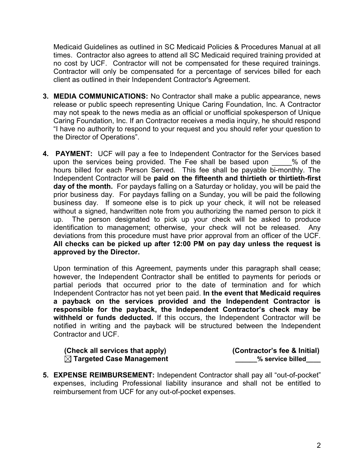Medicaid Guidelines as outlined in SC Medicaid Policies & Procedures Manual at all times. Contractor also agrees to attend all SC Medicaid required training provided at no cost by UCF. Contractor will not be compensated for these required trainings. Contractor will only be compensated for a percentage of services billed for each client as outlined in their Independent Contractor's Agreement.

- 3. MEDIA COMMUNICATIONS: No Contractor shall make a public appearance, news release or public speech representing Unique Caring Foundation, Inc. A Contractor may not speak to the news media as an official or unofficial spokesperson of Unique Caring Foundation, Inc. If an Contractor receives a media inquiry, he should respond "I have no authority to respond to your request and you should refer your question to the Director of Operations".
- 4. **PAYMENT:** UCF will pay a fee to Independent Contractor for the Services based upon the services being provided. The Fee shall be based upon  $\frac{1}{2}$  % of the hours billed for each Person Served. This fee shall be payable bi-monthly. The Independent Contractor will be paid on the fifteenth and thirtieth or thirtieth-first day of the month. For paydays falling on a Saturday or holiday, you will be paid the prior business day. For paydays falling on a Sunday, you will be paid the following business day. If someone else is to pick up your check, it will not be released without a signed, handwritten note from you authorizing the named person to pick it up. The person designated to pick up your check will be asked to produce identification to management; otherwise, your check will not be released. Any deviations from this procedure must have prior approval from an officer of the UCF. All checks can be picked up after 12:00 PM on pay day unless the request is approved by the Director.

Upon termination of this Agreement, payments under this paragraph shall cease; however, the Independent Contractor shall be entitled to payments for periods or partial periods that occurred prior to the date of termination and for which Independent Contractor has not yet been paid. In the event that Medicaid requires a payback on the services provided and the Independent Contractor is responsible for the payback, the Independent Contractor's check may be withheld or funds deducted. If this occurs, the Independent Contractor will be notified in writing and the payback will be structured between the Independent Contractor and UCF.

| (Check all services that apply)      | (Contractor's fee & Initial) |
|--------------------------------------|------------------------------|
| $\boxtimes$ Targeted Case Management | % service billed             |

5. EXPENSE REIMBURSEMENT: Independent Contractor shall pay all "out-of-pocket" expenses, including Professional liability insurance and shall not be entitled to reimbursement from UCF for any out-of-pocket expenses.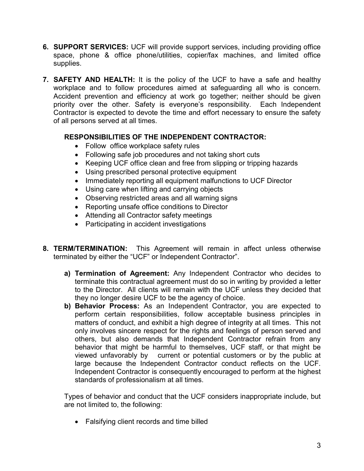- 6. SUPPORT SERVICES: UCF will provide support services, including providing office space, phone & office phone/utilities, copier/fax machines, and limited office supplies.
- 7. SAFETY AND HEALTH: It is the policy of the UCF to have a safe and healthy workplace and to follow procedures aimed at safeguarding all who is concern. Accident prevention and efficiency at work go together; neither should be given priority over the other. Safety is everyone's responsibility. Each Independent Contractor is expected to devote the time and effort necessary to ensure the safety of all persons served at all times.

## RESPONSIBILITIES OF THE INDEPENDENT CONTRACTOR:

- Follow office workplace safety rules
- Following safe job procedures and not taking short cuts
- Keeping UCF office clean and free from slipping or tripping hazards
- Using prescribed personal protective equipment
- Immediately reporting all equipment malfunctions to UCF Director
- Using care when lifting and carrying objects
- Observing restricted areas and all warning signs
- Reporting unsafe office conditions to Director
- Attending all Contractor safety meetings
- Participating in accident investigations
- 8. TERM/TERMINATION: This Agreement will remain in affect unless otherwise terminated by either the "UCF" or Independent Contractor".
	- a) Termination of Agreement: Any Independent Contractor who decides to terminate this contractual agreement must do so in writing by provided a letter to the Director. All clients will remain with the UCF unless they decided that they no longer desire UCF to be the agency of choice.
	- b) Behavior Process: As an Independent Contractor, you are expected to perform certain responsibilities, follow acceptable business principles in matters of conduct, and exhibit a high degree of integrity at all times. This not only involves sincere respect for the rights and feelings of person served and others, but also demands that Independent Contractor refrain from any behavior that might be harmful to themselves, UCF staff, or that might be viewed unfavorably by current or potential customers or by the public at large because the Independent Contractor conduct reflects on the UCF. Independent Contractor is consequently encouraged to perform at the highest standards of professionalism at all times.

Types of behavior and conduct that the UCF considers inappropriate include, but are not limited to, the following:

Falsifying client records and time billed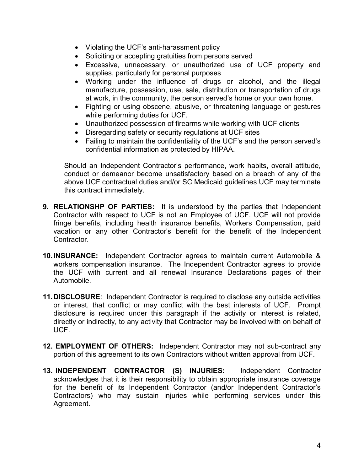- Violating the UCF's anti-harassment policy
- Soliciting or accepting gratuities from persons served
- Excessive, unnecessary, or unauthorized use of UCF property and supplies, particularly for personal purposes
- Working under the influence of drugs or alcohol, and the illegal manufacture, possession, use, sale, distribution or transportation of drugs at work, in the community, the person served's home or your own home.
- Fighting or using obscene, abusive, or threatening language or gestures while performing duties for UCF.
- Unauthorized possession of firearms while working with UCF clients
- Disregarding safety or security regulations at UCF sites
- Failing to maintain the confidentiality of the UCF's and the person served's confidential information as protected by HIPAA.

Should an Independent Contractor's performance, work habits, overall attitude, conduct or demeanor become unsatisfactory based on a breach of any of the above UCF contractual duties and/or SC Medicaid guidelines UCF may terminate this contract immediately.

- 9. RELATIONSHP OF PARTIES: It is understood by the parties that Independent Contractor with respect to UCF is not an Employee of UCF. UCF will not provide fringe benefits, including health insurance benefits, Workers Compensation, paid vacation or any other Contractor's benefit for the benefit of the Independent Contractor.
- 10. INSURANCE: Independent Contractor agrees to maintain current Automobile & workers compensation insurance. The Independent Contractor agrees to provide the UCF with current and all renewal Insurance Declarations pages of their Automobile.
- 11. DISCLOSURE: Independent Contractor is required to disclose any outside activities or interest, that conflict or may conflict with the best interests of UCF. Prompt disclosure is required under this paragraph if the activity or interest is related, directly or indirectly, to any activity that Contractor may be involved with on behalf of UCF.
- 12. **EMPLOYMENT OF OTHERS:** Independent Contractor may not sub-contract any portion of this agreement to its own Contractors without written approval from UCF.
- 13. INDEPENDENT CONTRACTOR (S) INJURIES: Independent Contractor acknowledges that it is their responsibility to obtain appropriate insurance coverage for the benefit of its Independent Contractor (and/or Independent Contractor's Contractors) who may sustain injuries while performing services under this Agreement.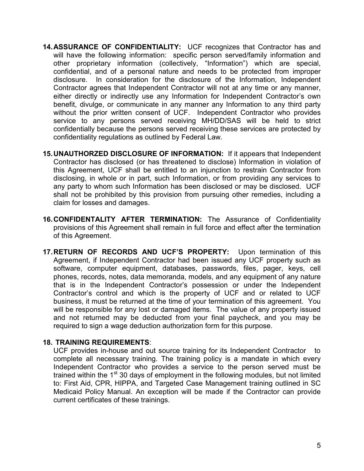- 14. ASSURANCE OF CONFIDENTIALITY: UCF recognizes that Contractor has and will have the following information: specific person served/family information and other proprietary information (collectively, "Information") which are special, confidential, and of a personal nature and needs to be protected from improper disclosure. In consideration for the disclosure of the Information, Independent Contractor agrees that Independent Contractor will not at any time or any manner, either directly or indirectly use any Information for Independent Contractor's own benefit, divulge, or communicate in any manner any Information to any third party without the prior written consent of UCF. Independent Contractor who provides service to any persons served receiving MH/DD/SAS will be held to strict confidentially because the persons served receiving these services are protected by confidentiality regulations as outlined by Federal Law.
- 15. UNAUTHORZED DISCLOSURE OF INFORMATION: If it appears that Independent Contractor has disclosed (or has threatened to disclose) Information in violation of this Agreement, UCF shall be entitled to an injunction to restrain Contractor from disclosing, in whole or in part, such Information, or from providing any services to any party to whom such Information has been disclosed or may be disclosed. UCF shall not be prohibited by this provision from pursuing other remedies, including a claim for losses and damages.
- 16. CONFIDENTALITY AFTER TERMINATION: The Assurance of Confidentiality provisions of this Agreement shall remain in full force and effect after the termination of this Agreement.
- 17. RETURN OF RECORDS AND UCF'S PROPERTY: Upon termination of this Agreement, if Independent Contractor had been issued any UCF property such as software, computer equipment, databases, passwords, files, pager, keys, cell phones, records, notes, data memoranda, models, and any equipment of any nature that is in the Independent Contractor's possession or under the Independent Contractor's control and which is the property of UCF and or related to UCF business, it must be returned at the time of your termination of this agreement. You will be responsible for any lost or damaged items. The value of any property issued and not returned may be deducted from your final paycheck, and you may be required to sign a wage deduction authorization form for this purpose.

## 18. TRAINING REQUIREMENTS:

UCF provides in-house and out source training for its Independent Contractor to complete all necessary training. The training policy is a mandate in which every Independent Contractor who provides a service to the person served must be trained within the  $1<sup>st</sup>$  30 days of employment in the following modules, but not limited to: First Aid, CPR, HIPPA, and Targeted Case Management training outlined in SC Medicaid Policy Manual. An exception will be made if the Contractor can provide current certificates of these trainings.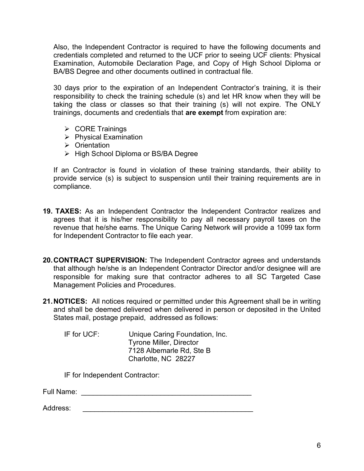Also, the Independent Contractor is required to have the following documents and credentials completed and returned to the UCF prior to seeing UCF clients: Physical Examination, Automobile Declaration Page, and Copy of High School Diploma or BA/BS Degree and other documents outlined in contractual file.

30 days prior to the expiration of an Independent Contractor's training, it is their responsibility to check the training schedule (s) and let HR know when they will be taking the class or classes so that their training (s) will not expire. The ONLY trainings, documents and credentials that are exempt from expiration are:

- $\triangleright$  CORE Trainings
- $\triangleright$  Physical Examination
- **▶ Orientation**
- ▶ High School Diploma or BS/BA Degree

If an Contractor is found in violation of these training standards, their ability to provide service (s) is subject to suspension until their training requirements are in compliance.

- 19. TAXES: As an Independent Contractor the Independent Contractor realizes and agrees that it is his/her responsibility to pay all necessary payroll taxes on the revenue that he/she earns. The Unique Caring Network will provide a 1099 tax form for Independent Contractor to file each year.
- 20. CONTRACT SUPERVISION: The Independent Contractor agrees and understands that although he/she is an Independent Contractor Director and/or designee will are responsible for making sure that contractor adheres to all SC Targeted Case Management Policies and Procedures.
- 21. NOTICES: All notices required or permitted under this Agreement shall be in writing and shall be deemed delivered when delivered in person or deposited in the United States mail, postage prepaid, addressed as follows:

IF for UCF: Unique Caring Foundation, Inc. Tyrone Miller, Director 7128 Albemarle Rd, Ste B Charlotte, NC 28227

IF for Independent Contractor:

Full Name: \_\_\_\_\_\_\_\_\_\_\_\_\_\_\_\_\_\_\_\_\_\_\_\_\_\_\_\_\_\_\_\_\_\_\_\_\_\_\_\_\_\_\_

Address: